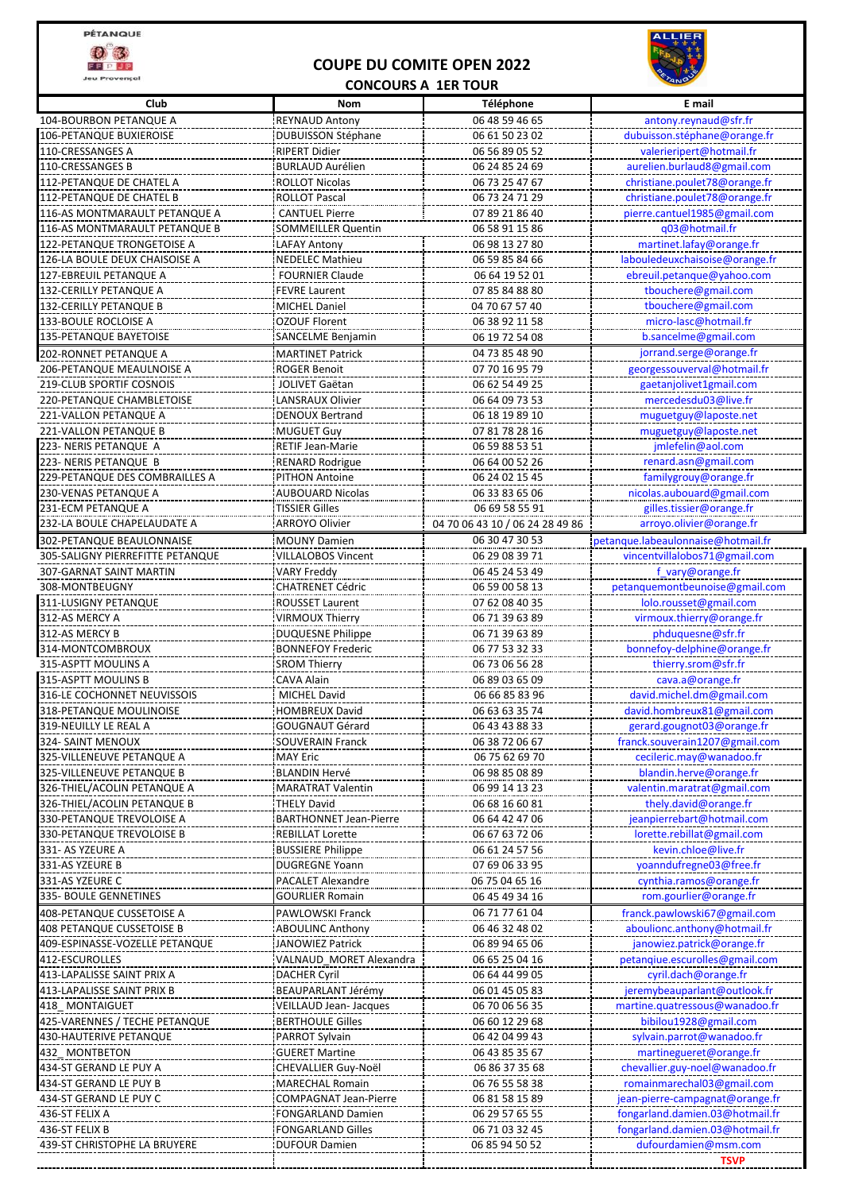

**Jeu Provençal** 

## **COUPE DU COMITE OPEN 2022**



## **CONCOURS A 1ER TOUR**

| Club                                                       | Nom                                              | Téléphone                        | E mail                                                 |
|------------------------------------------------------------|--------------------------------------------------|----------------------------------|--------------------------------------------------------|
| 104-BOURBON PETANQUE A                                     | <b>REYNAUD Antony</b>                            | 06 48 59 46 65                   | antony.reynaud@sfr.fr                                  |
| 106-PETANQUE BUXIEROISE                                    | <b>DUBUISSON Stéphane</b>                        | 06 61 50 23 02                   | dubuisson.stéphane@orange.fr                           |
| 110-CRESSANGES A                                           | <b>RIPERT Didier</b>                             | 06 56 89 05 52                   | valerieripert@hotmail.fr                               |
| 110-CRESSANGES B                                           | <b>BURLAUD Aurélien</b>                          | 06 24 85 24 69                   | aurelien.burlaud8@gmail.com                            |
| 112-PETANQUE DE CHATEL A                                   | <b>ROLLOT Nicolas</b>                            | 06 73 25 47 67                   | christiane.poulet78@orange.fr                          |
| 112-PETANQUE DE CHATEL B                                   | <b>ROLLOT Pascal</b>                             | 06 73 24 71 29                   | christiane.poulet78@orange.fr                          |
| 116-AS MONTMARAULT PETANQUE A                              | <b>CANTUEL Pierre</b>                            | 07 89 21 86 40                   | pierre.cantuel1985@gmail.com                           |
| 116-AS MONTMARAULT PETANQUE B                              | <b>SOMMEILLER Quentin</b>                        | 06 58 91 15 86                   | q03@hotmail.fr                                         |
| 122-PETANQUE TRONGETOISE A                                 | LAFAY Antony                                     | 06 98 13 27 80                   | martinet.lafay@orange.fr                               |
| 126-LA BOULE DEUX CHAISOISE A                              | <b>NEDELEC Mathieu</b>                           | 06 59 85 84 66                   | labouledeuxchaisoise@orange.fr                         |
| 127-EBREUIL PETANQUE A                                     | <b>FOURNIER Claude</b>                           | 06 64 19 52 01                   | ebreuil.petanque@yahoo.com                             |
| 132-CERILLY PETANQUE A                                     | <b>FEVRE Laurent</b>                             | 07 85 84 88 80                   | tbouchere@gmail.com                                    |
| 132-CERILLY PETANQUE B                                     | MICHEL Daniel                                    | 04 70 67 57 40                   | tbouchere@gmail.com                                    |
| 133-BOULE ROCLOISE A                                       | <b>OZOUF Florent</b>                             | 06 38 92 11 58                   | micro-lasc@hotmail.fr                                  |
| 135-PETANQUE BAYETOISE                                     | SANCELME Benjamin                                | 06 19 72 54 08                   | b.sancelme@gmail.com                                   |
| 202-RONNET PETANQUE A                                      | <b>MARTINET Patrick</b>                          | 04 73 85 48 90                   | jorrand.serge@orange.fr                                |
| 206-PETANQUE MEAULNOISE A                                  | <b>ROGER Benoit</b>                              | 07 70 16 95 79<br>06 62 54 49 25 | georgessouverval@hotmail.fr<br>gaetanjolivet1gmail.com |
| 219-CLUB SPORTIF COSNOIS<br>220-PETANQUE CHAMBLETOISE      | <b>JOLIVET Gaëtan</b><br><b>LANSRAUX Olivier</b> | 06 64 09 73 53                   | mercedesdu03@live.fr                                   |
| 221-VALLON PETANQUE A                                      | <b>DENOUX Bertrand</b>                           | 06 18 19 89 10                   | muguetguy@laposte.net                                  |
| 221-VALLON PETANQUE B                                      | <b>MUGUET Guy</b>                                | 07 81 78 28 16                   | muguetguy@laposte.net                                  |
| 223- NERIS PETANQUE A                                      | <b>RETIF Jean-Marie</b>                          | 06 59 88 53 51                   | jmlefelin@aol.com                                      |
| 223- NERIS PETANQUE B                                      | <b>RENARD Rodrigue</b>                           | 06 64 00 52 26                   | renard.asn@gmail.com                                   |
| 229-PETANQUE DES COMBRAILLES A                             | <b>PITHON Antoine</b>                            | 06 24 02 15 45                   | familygrouy@orange.fr                                  |
| 230-VENAS PETANQUE A                                       | <b>AUBOUARD Nicolas</b>                          | 06 33 83 65 06                   | nicolas.aubouard@gmail.com                             |
| 231-ECM PETANQUE A                                         | <b>TISSIER Gilles</b>                            | 06 69 58 55 91                   | gilles.tissier@orange.fr                               |
| 232-LA BOULE CHAPELAUDATE A                                | <b>ARROYO Olivier</b>                            | 04 70 06 43 10 / 06 24 28 49 86  | arroyo.olivier@orange.fr                               |
| 302-PETANQUE BEAULONNAISE                                  | <b>MOUNY Damien</b>                              | 06 30 47 30 53                   | petanque.labeaulonnaise@hotmail.fr                     |
| 305-SALIGNY PIERREFITTE PETANQUE                           | <b>VILLALOBOS Vincent</b>                        | 06 29 08 39 71                   | vincentvillalobos71@gmail.com                          |
| 307-GARNAT SAINT MARTIN                                    | <b>VARY Freddy</b>                               | 06 45 24 53 49                   | f_vary@orange.fr                                       |
| 308-MONTBEUGNY                                             | <b>CHATRENET Cédric</b>                          | 06 59 00 58 13                   | petanquemontbeunoise@gmail.com                         |
| 311-LUSIGNY PETANQUE                                       | <b>ROUSSET Laurent</b>                           | 07 62 08 40 35                   | lolo.rousset@gmail.com                                 |
| 312-AS MERCY A                                             | <b>VIRMOUX Thierry</b>                           | 06 71 39 63 89                   | virmoux.thierry@orange.fr                              |
| 312-AS MERCY B                                             | <b>DUQUESNE Philippe</b>                         | 06 71 39 63 89                   | phduquesne@sfr.fr                                      |
| 314-MONTCOMBROUX                                           | <b>BONNEFOY Frederic</b>                         | 06 77 53 32 33                   | bonnefoy-delphine@orange.fr                            |
| 315-ASPTT MOULINS A                                        | <b>SROM Thierry</b>                              | 06 73 06 56 28                   | thierry.srom@sfr.fr                                    |
| 315-ASPTT MOULINS B                                        | <b>CAVA Alain</b>                                | 06 89 03 65 09                   | cava.a@orange.fr                                       |
| 316-LE COCHONNET NEUVISSOIS                                | <b>MICHEL David</b>                              | 06 66 85 83 96                   | david.michel.dm@gmail.com                              |
| 318-PETANQUE MOULINOISE                                    | <b>HOMBREUX David</b>                            | 06 63 63 35 74                   | david.hombreux81@gmail.com                             |
| 319-NEUILLY LE REAL A                                      | GOUGNAUT Gérard                                  | 06 43 43 88 33                   | <u>erard.goughotU3@orange.fr</u>                       |
| 324- SAINT MENOUX                                          | <b>SOUVERAIN Franck</b>                          | 06 38 72 06 67                   | franck.souverain1207@gmail.com                         |
| 325-VILLENEUVE PETANQUE A                                  | <b>MAY Eric</b>                                  | 06 75 62 69 70                   | cecileric.may@wanadoo.fr                               |
| 325-VILLENEUVE PETANQUE B                                  | <b>BLANDIN Hervé</b>                             | 06 98 85 08 89                   | blandin.herve@orange.fr                                |
| 326-THIEL/ACOLIN PETANQUE A<br>326-THIEL/ACOLIN PETANQUE B | <b>MARATRAT Valentin</b><br><b>THELY David</b>   | 06 99 14 13 23<br>06 68 16 60 81 | valentin.maratrat@gmail.com<br>thely.david@orange.fr   |
| 330-PETANQUE TREVOLOISE A                                  | <b>BARTHONNET Jean-Pierre</b>                    | 06 64 42 47 06                   | jeanpierrebart@hotmail.com                             |
| 330-PETANQUE TREVOLOISE B                                  | <b>REBILLAT Lorette</b>                          | 06 67 63 72 06                   | lorette.rebillat@gmail.com                             |
| 331-AS YZEURE A                                            | <b>BUSSIERE Philippe</b>                         | 06 61 24 57 56                   | kevin.chloe@live.fr                                    |
| 331-AS YZEURE B                                            | <b>DUGREGNE Yoann</b>                            | 07 69 06 33 95                   | yoanndufregne03@free.fr                                |
| 331-AS YZEURE C                                            | PACALET Alexandre                                | 06 75 04 65 16                   | cynthia.ramos@orange.fr                                |
| 335- BOULE GENNETINES                                      | <b>GOURLIER Romain</b>                           | 06 45 49 34 16                   | rom.gourlier@orange.fr                                 |
| 408-PETANQUE CUSSETOISE A                                  | PAWLOWSKI Franck                                 | 06 71 77 61 04                   | franck.pawlowski67@gmail.com                           |
| <b>408 PETANQUE CUSSETOISE B</b>                           | <b>ABOULINC Anthony</b>                          | 06 46 32 48 02                   | aboulionc.anthony@hotmail.fr                           |
| 409-ESPINASSE-VOZELLE PETANQUE                             | JANOWIEZ Patrick                                 | 06 89 94 65 06                   | janowiez.patrick@orange.fr                             |
| 412-ESCUROLLES                                             | VALNAUD MORET Alexandra                          | 06 65 25 04 16                   | petanqiue.escurolles@gmail.com                         |
| 413-LAPALISSE SAINT PRIX A                                 | <b>DACHER Cyril</b>                              | 06 64 44 99 05                   | cyril.dach@orange.fr                                   |
| 413-LAPALISSE SAINT PRIX B                                 | BEAUPARLANT Jérémy                               | 06 01 45 05 83                   | jeremybeauparlant@outlook.fr                           |
| 418 MONTAIGUET                                             | VEILLAUD Jean- Jacques                           | 06 70 06 56 35                   | martine.quatressous@wanadoo.fr                         |
| 425-VARENNES / TECHE PETANQUE                              | <b>BERTHOULE Gilles</b>                          | 06 60 12 29 68                   | bibilou1928@gmail.com                                  |
| 430-HAUTERIVE PETANQUE                                     | PARROT Sylvain                                   | 06 42 04 99 43                   | sylvain.parrot@wanadoo.fr                              |
| 432 MONTBETON                                              | <b>GUERET Martine</b>                            | 06 43 85 35 67                   | martinegueret@orange.fr                                |
| 434-ST GERAND LE PUY A                                     | CHEVALLIER Guy-Noël                              | 06 86 37 35 68                   | chevallier.guy-noel@wanadoo.fr                         |
| 434-ST GERAND LE PUY B                                     | <b>MARECHAL Romain</b>                           | 06 76 55 58 38                   | romainmarechal03@gmail.com                             |
| 434-ST GERAND LE PUY C                                     | <b>COMPAGNAT Jean-Pierre</b>                     | 06 81 58 15 89                   | jean-pierre-campagnat@orange.fr                        |
| 436-ST FELIX A                                             | FONGARLAND Damien                                | 06 29 57 65 55                   | fongarland.damien.03@hotmail.fr                        |
| 436-ST FELIX B                                             | <b>FONGARLAND Gilles</b>                         | 06 71 03 32 45                   | fongarland.damien.03@hotmail.fr                        |
| 439-ST CHRISTOPHE LA BRUYERE                               | <b>DUFOUR Damien</b>                             | 06 85 94 50 52                   | dufourdamien@msm.com                                   |
|                                                            |                                                  |                                  | TSVP                                                   |